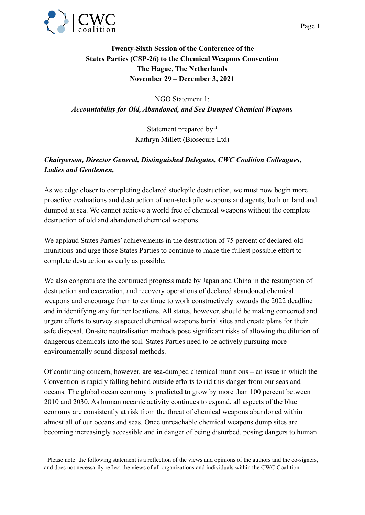

## **Twenty-Sixth Session of the Conference of the States Parties (CSP-26) to the Chemical Weapons Convention The Hague, The Netherlands November 29 – December 3, 2021**

NGO Statement 1: *Accountability for Old, Abandoned, and Sea Dumped Chemical Weapons*

> Statement prepared by:<sup>1</sup> Kathryn Millett (Biosecure Ltd)

## *Chairperson, Director General, Distinguished Delegates, CWC Coalition Colleagues, Ladies and Gentlemen,*

As we edge closer to completing declared stockpile destruction, we must now begin more proactive evaluations and destruction of non-stockpile weapons and agents, both on land and dumped at sea. We cannot achieve a world free of chemical weapons without the complete destruction of old and abandoned chemical weapons.

We applaud States Parties' achievements in the destruction of 75 percent of declared old munitions and urge those States Parties to continue to make the fullest possible effort to complete destruction as early as possible.

We also congratulate the continued progress made by Japan and China in the resumption of destruction and excavation, and recovery operations of declared abandoned chemical weapons and encourage them to continue to work constructively towards the 2022 deadline and in identifying any further locations. All states, however, should be making concerted and urgent efforts to survey suspected chemical weapons burial sites and create plans for their safe disposal. On-site neutralisation methods pose significant risks of allowing the dilution of dangerous chemicals into the soil. States Parties need to be actively pursuing more environmentally sound disposal methods.

Of continuing concern, however, are sea-dumped chemical munitions – an issue in which the Convention is rapidly falling behind outside efforts to rid this danger from our seas and oceans. The global ocean economy is predicted to grow by more than 100 percent between 2010 and 2030. As human oceanic activity continues to expand, all aspects of the blue economy are consistently at risk from the threat of chemical weapons abandoned within almost all of our oceans and seas. Once unreachable chemical weapons dump sites are becoming increasingly accessible and in danger of being disturbed, posing dangers to human

<sup>&</sup>lt;sup>1</sup> Please note: the following statement is a reflection of the views and opinions of the authors and the co-signers, and does not necessarily reflect the views of all organizations and individuals within the CWC Coalition.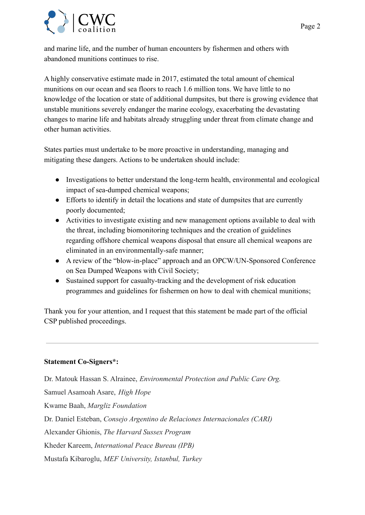and marine life, and the number of human encounters by fishermen and others with abandoned munitions continues to rise.

A highly conservative estimate made in 2017, estimated the total amount of chemical munitions on our ocean and sea floors to reach 1.6 million tons. We have little to no knowledge of the location or state of additional dumpsites, but there is growing evidence that unstable munitions severely endanger the marine ecology, exacerbating the devastating changes to marine life and habitats already struggling under threat from climate change and other human activities.

States parties must undertake to be more proactive in understanding, managing and mitigating these dangers. Actions to be undertaken should include:

- Investigations to better understand the long-term health, environmental and ecological impact of sea-dumped chemical weapons;
- Efforts to identify in detail the locations and state of dumpsites that are currently poorly documented;
- Activities to investigate existing and new management options available to deal with the threat, including biomonitoring techniques and the creation of guidelines regarding offshore chemical weapons disposal that ensure all chemical weapons are eliminated in an environmentally-safe manner;
- A review of the "blow-in-place" approach and an OPCW/UN-Sponsored Conference on Sea Dumped Weapons with Civil Society;
- Sustained support for casualty-tracking and the development of risk education programmes and guidelines for fishermen on how to deal with chemical munitions;

Thank you for your attention, and I request that this statement be made part of the official CSP published proceedings.

## **Statement Co-Signers\*:**

Dr. Matouk Hassan S. Alrainee, *Environmental Protection and Public Care Org.* Samuel Asamoah Asare, *High Hope* Kwame Baah, *Margliz Foundation* Dr. Daniel Esteban, *Consejo Argentino de Relaciones Internacionales (CARI)* Alexander Ghionis, *The Harvard Sussex Program* Kheder Kareem, *International Peace Bureau (IPB)* Mustafa Kibaroglu, *MEF University, Istanbul, Turkey*